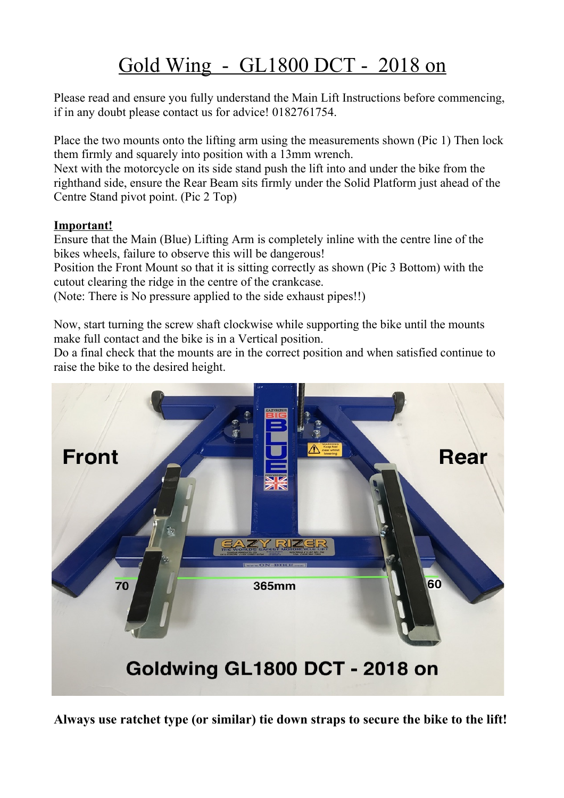## Gold Wing - GL1800 DCT - 2018 on

Please read and ensure you fully understand the Main Lift Instructions before commencing, if in any doubt please contact us for advice! 0182761754.

Place the two mounts onto the lifting arm using the measurements shown (Pic 1) Then lock them firmly and squarely into position with a 13mm wrench.

Next with the motorcycle on its side stand push the lift into and under the bike from the righthand side, ensure the Rear Beam sits firmly under the Solid Platform just ahead of the Centre Stand pivot point. (Pic 2 Top)

## **Important!**

Ensure that the Main (Blue) Lifting Arm is completely inline with the centre line of the bikes wheels, failure to observe this will be dangerous!

Position the Front Mount so that it is sitting correctly as shown (Pic 3 Bottom) with the cutout clearing the ridge in the centre of the crankcase.

(Note: There is No pressure applied to the side exhaust pipes!!)

Now, start turning the screw shaft clockwise while supporting the bike until the mounts make full contact and the bike is in a Vertical position.

Do a final check that the mounts are in the correct position and when satisfied continue to raise the bike to the desired height.



**Always use ratchet type (or similar) tie down straps to secure the bike to the lift!**